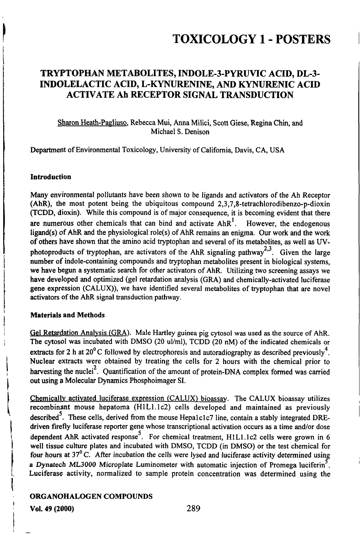## TRYPTOPHAN METABOLITES, IND0LE-3-PYRUVIC ACID, DL-3- INDOLELACTIC ACID, L-KYNURENINE, AND KYNURENIC ACID ACTIVATE Ah RECEPTOR SIGNAL TRANSDUCTION

### Sharon Heath-Pagliuso. Rebecca Mui, Anna Milici, Scott Giese, Regina Chin, and Michael S. Denison

Department of Environmental Toxicology, University of Califomia, Davis, CA, USA

#### **Introduction**

Many environmental pollutants have been shown to be ligands and activators of the Ah Receptor (AhR), the most potent being the ubiquitous compound  $2,3,7,8$ -tetrachlorodibenzo-p-dioxin  $(TCDD, dioxin)$ . While this compound is of major consequence, it is becoming evident that there are numerous other chemicals that can bind and activate  $A h R<sup>1</sup>$ . However, the endogenous ligand(s) of AhR and the physiological role(s) of AhR remains an enigma. Our work and the work of others have shown that the amuio acid tryptophan and several of its metabolites, as well as UVphotoproducts of tryptophan, are activators of the AhR signaling pathway<sup>2,3</sup>. Given the large number of indole-containing compounds and tryptophan metabolites present in biological systems, we have begun a systematic search for other activators of AhR. Utilizing two screening assays we have developed and optimized (gel retardation analysis (GRA) and chemically-activated luciferase gene expression (CALUX)), we have identified several metabolites of tryptophan that are novel activators of the AhR signal transduction pathway.

### Materials and Methods

Gel Retardation Analysis (GRA). Male Hartley guinea pig cytosol was used as the source of AhR. The cytosol was incubated with DMSO (20 ul/ml), TCDD (20 nM) of the indicated chemicals or extracts for 2 h at  $20^{\circ}$ C followed by electrophoresis and autoradiography as described previously<sup>4</sup>. Nuclear extracts were obtained by treating the cells for 2 hours with the chemical prior to harvesting the nuclei<sup>2</sup>. Quantification of the amount of protein-DNA complex formed was carried out using a Molecular Dynamics Phosphoimager SI.

Chemically activated luciferase expression (CALUX) bioassay. The CALUX bioassay utilizes recombinant mouse hepatoma (H1L1.1c2) cells developed and maintained as previously described<sup>5</sup>. These cells, derived from the mouse Hepalclc7 line, contain a stably integrated DREdriven firefly luciferase reporter gene whose transcriptional activation occurs as a time and/or dose dependent AhR activated response<sup>5</sup>. For chemical treatment, H1L1.1c2 cells were grown in 6 well tissue culture plates and incubated with DMSO, TCDD (in DMSO) or the test chemical for four hours at  $37^{\circ}$  C. After incubation the cells were lysed and luciferase activity determined using a Dynatech ML3000 Microplate Luminometer with automatic injection of Promega luciferin<sup>5</sup>. Luciferase activity, normalized to sample protein concentration was determined using the

### ORGANOHALOGEN COMPOUNDS

VoL 49 (2000) 289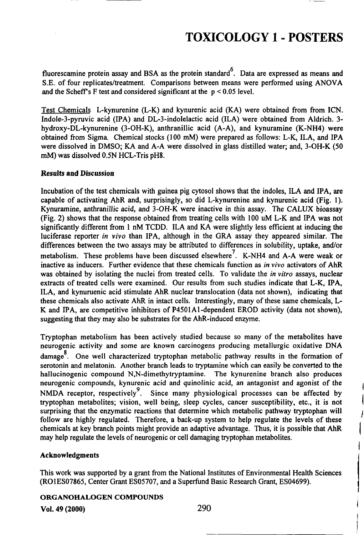fluorescamine protein assay and BSA as the protein standard<sup>6</sup>. Data are expressed as means and S.E. of four replicates/freatment. Comparisons between means were performed using ANOVA and the Scheff's F test and considered significant at the  $p < 0.05$  level.

Test Chemicals L-kynurenine (L-K) and kynurenic acid (KA) were obtained from from ICN. Indole-3-pymvic acid (IPA) and DL-3-indolelactic acid (ILA) were obtained from Aldrich. 3 hydroxy-DL-kynurenine (3-OH-K), anthranillic acid (A-A), and kynuramine (K-NH4) were obtained from Sigma. Chemical stocks (100 mM) were prepared as follows: L-K, ILA, and IPA were dissolved in DMSO; KA and A-A were dissolved in glass distilled water; and, 3-OH-K (50 mM) was dissolved 0.5N HCL-Tris pH8.

#### Results and Discussion

Incubation of the test chemicals with guinea pig cytosol shows that the indoles, ILA and IPA, are capable of activating AhR and, surprisingly, so did L-kynurenine and kynurenic acid (Fig. 1). Kynuramine, anthranillic acid, and 3-OH-K were inactive in this assay. The CALUX bioassay (Fig. 2) shows that the response obtained from treating cells with 100 uM L-K and IPA was not significantly different from 1 nM TCDD. ILA and KA were slightly less efficient at inducing the luciferase reporter in vivo than IPA, although in the GRA assay they appeared similar. The differences between the two assays may be attributed to differences in solubility, uptake, and/or metabolism. These problems have been discussed elsewhere<sup>7</sup>. K-NH4 and A-A were weak or inactive as inducers. Further evidence that these chemicals function as in vivo activators of AhR was obtained by isolating the nuclei from treated cells. To validate the *in vitro* assays, nuclear exfracts of freated cells were examined. Our results from such stadies indicate that L-K, IPA, ILA, and kynuruenic acid stimulate AhR nuclear translocation (data not shown), indicating that these chemicals also activate AhR in intact cells. Interestingly, many of these same chemicals, L-K and IPA, are competitive inhibitors of P4501A1-dependent EROD activity (data not shown), suggesting that they may also be substrates for the AhR-induced enzyme.

Tryptophan metabolism has been actively studied because so many of the metabolites have neurogenic activity and some are known carcinogens producing metallurgic oxidative DNA damage<sup>8</sup>. One well characterized tryptophan metabolic pathway results in the formation of serotonin and melatonin. Another branch leads to tryptamine which can easily be converted to the hallucinogenic compound N,N-dimethytryptamine. The kynurenine branch also produces neurogenic compounds, kynurenic acid and quinolinic acid, an antagonist and agonist of the NMDA receptor, respectively<sup>9</sup>. Since many physiological processes can be affected by tryptophan metabolites; vision, well being, sleep cycles, cancer susceptibility, etc., it is not surprising that the enzymatic reactions that determine which metabolic pathway tryptophan will follow are highly regulated. Therefore, a back-up system to help regulate the levels of these chemicals at key branch points might provide an adaptive advantage. Thus, it is possible that AhR may help regulate the levels of neurogenic or cell damaging tryptophan metabolites.

#### Acknowledgments

This work was supported by a grant from the National Institates of Environmental Health Sciences (RO1ES07865, Center Grant ES05707, and a Superfund Basic Research Grant, ES04699).

#### ORGANOHALOGEN COMPOUNDS

Vol. 49 (2000) 290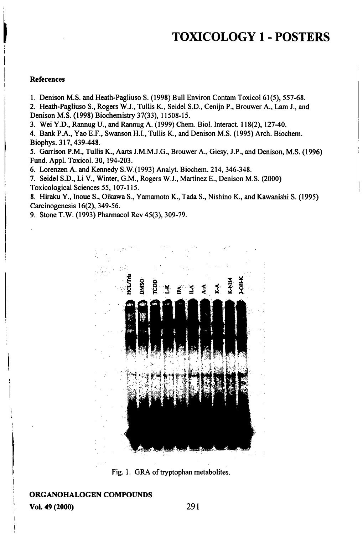#### References

1. Denison M.S. and Heath-Pagliuso S. (1998) Bull Environ Contam Toxicol 61(5), 557-68.

2. Heath-Pagliuso S., Rogers W.J., Tullis K., Seidel S.D., Cenijn P., Brouwer A., Lam J., and Denison M.S. (1998) Biochemistiy 37(33), 11508-15.

3. Wei Y.D., Rannug U., and Rannug A. (1999) Chem. Biol. Interact. 118(2), 127-40.

4. Bank P.A., Yao E.F., Swanson H.L, Tullis K., and Denison M.S. (1995) Arch. Biochem. Biophys. 317,439-448.

5. Ganison P.M., Tullis K., Aarts J.M.M.J.G., Brouwer A., Giesy, J.P., and Denison, M.S. (1996) Fund. Appl. Toxicol. 30, 194-203.

6. Lorenzen A. and Kennedy S.W.(1993) Analyt. Biochem. 214, 346-348.

7. Seidel S.D., Li V., Winter, G.M., Rogers W.J., Martinez E., Denison M.S. (2000) Toxicological Sciences 55,107-115.

8. Hfraku Y., Inoue S., Oikawa S., Yamamoto K., Tada S., Nishino K., and Kawanishi S. (1995) Carcinogenesis 16(2), 349-56.

9. Stone T.W. (1993) Pharmacol Rev 45(3), 309-79.



Fig. 1. GRA of tryptophan metabolites.

### ORGANOHALOGEN COMPOUNDS

VoL 49 (2000) 291